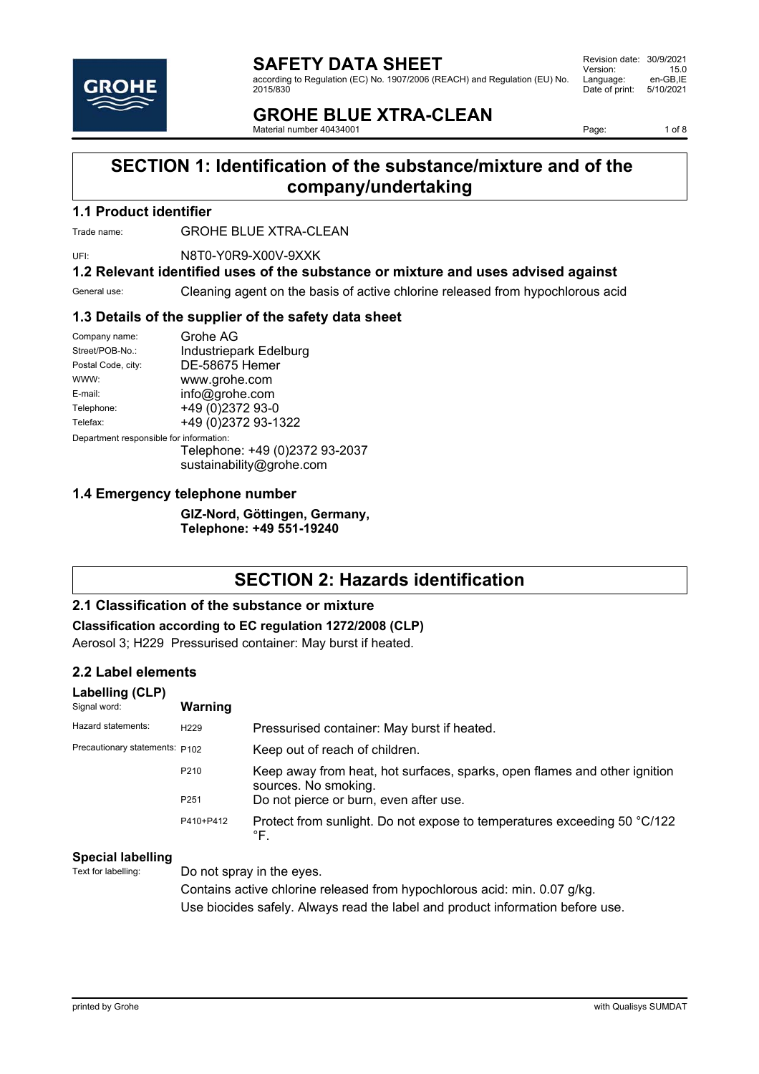according to Regulation (EC) No. 1907/2006 (REACH) and Regulation (EU) No. 2015/830

Revision date: 30/9/2021 Version: 15.0<br>Language: en-GB,IE Language: en-GB,IE<br>Date of print: 5/10/2021 Date of print:

## **GROHE BLUE XTRA-CLEAN**

Material number 40434001

Page: 1 of 8

## **SECTION 1: Identification of the substance/mixture and of the company/undertaking**

#### **1.1 Product identifier**

Trade name: **GROHE BLUE XTRA-CLEAN** 

UFI: N8T0-Y0R9-X00V-9XXK

#### **1.2 Relevant identified uses of the substance or mixture and uses advised against**

General use: Cleaning agent on the basis of active chlorine released from hypochlorous acid

#### **1.3 Details of the supplier of the safety data sheet**

| Company name:                           | Grohe AG               |
|-----------------------------------------|------------------------|
| Street/POB-No.:                         | Industriepark Edelburg |
| Postal Code, city:                      | DE-58675 Hemer         |
| WWW:                                    | www.grohe.com          |
| E-mail:                                 | info@grohe.com         |
| Telephone:                              | +49 (0)2372 93-0       |
| Telefax:                                | +49 (0)2372 93-1322    |
| Department responsible for information: |                        |

Telephone: +49 (0)2372 93-2037 sustainability@grohe.com

#### **1.4 Emergency telephone number**

**GIZ-Nord, Göttingen, Germany, Telephone: +49 551-19240**

## **SECTION 2: Hazards identification**

#### **2.1 Classification of the substance or mixture**

**Classification according to EC regulation 1272/2008 (CLP)**

Aerosol 3; H229 Pressurised container: May burst if heated.

#### **2.2 Label elements**

| Labelling (CLP)<br>Signal word: | <b>Warning</b>   |                                                                                                   |
|---------------------------------|------------------|---------------------------------------------------------------------------------------------------|
| Hazard statements:              | H <sub>229</sub> | Pressurised container: May burst if heated.                                                       |
| Precautionary statements: P102  |                  | Keep out of reach of children.                                                                    |
|                                 | P210             | Keep away from heat, hot surfaces, sparks, open flames and other ignition<br>sources. No smoking. |
|                                 | P <sub>251</sub> | Do not pierce or burn, even after use.                                                            |
|                                 | P410+P412        | Protect from sunlight. Do not expose to temperatures exceeding 50 °C/122<br>°F.                   |

#### **Special labelling**

Text for labelling: Do not spray in the eyes. Contains active chlorine released from hypochlorous acid: min. 0.07 g/kg. Use biocides safely. Always read the label and product information before use.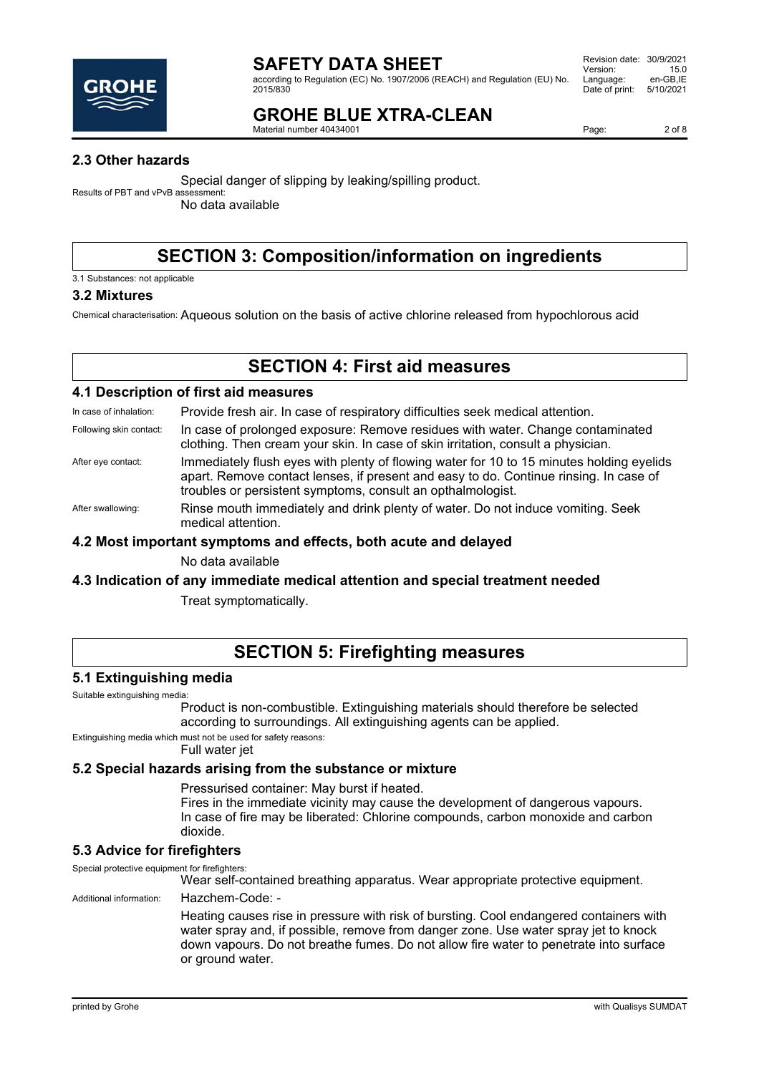

according to Regulation (EC) No. 1907/2006 (REACH) and Regulation (EU) No. 2015/830

## **GROHE BLUE XTRA-CLEAN**

Material number 40434001

Page: 2 of 8

### **2.3 Other hazards**

Special danger of slipping by leaking/spilling product.

Results of PBT and vPvB assessment: No data available

## **SECTION 3: Composition/information on ingredients**

3.1 Substances: not applicable

#### **3.2 Mixtures**

Chemical characterisation: Aqueous solution on the basis of active chlorine released from hypochlorous acid

### **SECTION 4: First aid measures**

#### **4.1 Description of first aid measures**

In case of inhalation: Provide fresh air. In case of respiratory difficulties seek medical attention.

- Following skin contact: In case of prolonged exposure: Remove residues with water. Change contaminated clothing. Then cream your skin. In case of skin irritation, consult a physician.
- After eye contact: Immediately flush eyes with plenty of flowing water for 10 to 15 minutes holding eyelids apart. Remove contact lenses, if present and easy to do. Continue rinsing. In case of troubles or persistent symptoms, consult an opthalmologist.
- After swallowing: Rinse mouth immediately and drink plenty of water. Do not induce vomiting. Seek medical attention.

#### **4.2 Most important symptoms and effects, both acute and delayed**

No data available

#### **4.3 Indication of any immediate medical attention and special treatment needed**

Treat symptomatically.

### **SECTION 5: Firefighting measures**

#### **5.1 Extinguishing media**

Suitable extinguishing media:

Product is non-combustible. Extinguishing materials should therefore be selected according to surroundings. All extinguishing agents can be applied.

Extinguishing media which must not be used for safety reasons:

Full water jet

### **5.2 Special hazards arising from the substance or mixture**

Pressurised container: May burst if heated.

Fires in the immediate vicinity may cause the development of dangerous vapours. In case of fire may be liberated: Chlorine compounds, carbon monoxide and carbon dioxide.

#### **5.3 Advice for firefighters**

Special protective equipment for firefighters: Wear self-contained breathing apparatus. Wear appropriate protective equipment. Additional information: Hazchem-Code: -

Heating causes rise in pressure with risk of bursting. Cool endangered containers with water spray and, if possible, remove from danger zone. Use water spray jet to knock down vapours. Do not breathe fumes. Do not allow fire water to penetrate into surface or ground water.

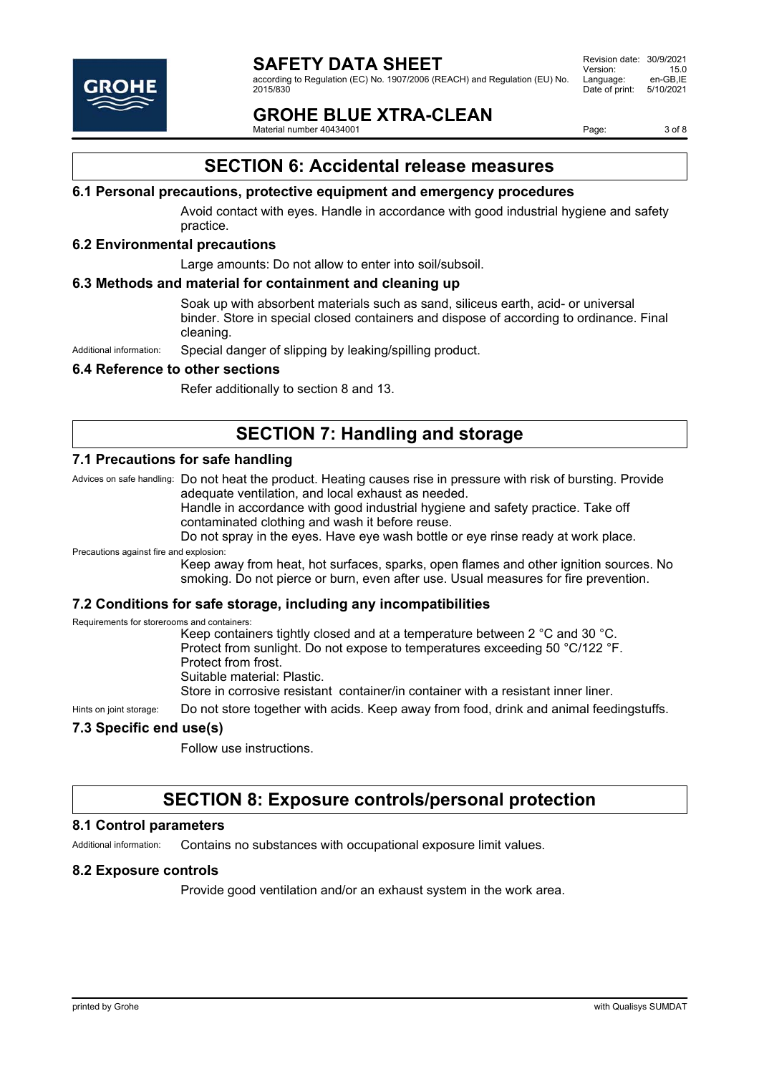

according to Regulation (EC) No. 1907/2006 (REACH) and Regulation (EU) No. 2015/830

Revision date: 30/9/2021 Version: 15.0<br>Language: en-GB,IE Language: en-GB,IE<br>Date of print: 5/10/2021 Date of print:

## **GROHE BLUE XTRA-CLEAN**

Material number 40434001

Page: 3 of 8

## **SECTION 6: Accidental release measures**

#### **6.1 Personal precautions, protective equipment and emergency procedures**

Avoid contact with eyes. Handle in accordance with good industrial hygiene and safety practice.

#### **6.2 Environmental precautions**

Large amounts: Do not allow to enter into soil/subsoil.

#### **6.3 Methods and material for containment and cleaning up**

Soak up with absorbent materials such as sand, siliceus earth, acid- or universal binder. Store in special closed containers and dispose of according to ordinance. Final cleaning.

Additional information: Special danger of slipping by leaking/spilling product.

#### **6.4 Reference to other sections**

Refer additionally to section 8 and 13.

### **SECTION 7: Handling and storage**

#### **7.1 Precautions for safe handling**

Advices on safe handling: Do not heat the product. Heating causes rise in pressure with risk of bursting. Provide adequate ventilation, and local exhaust as needed.

Handle in accordance with good industrial hygiene and safety practice. Take off contaminated clothing and wash it before reuse.

Do not spray in the eyes. Have eye wash bottle or eye rinse ready at work place.

Precautions against fire and explosion:

Keep away from heat, hot surfaces, sparks, open flames and other ignition sources. No smoking. Do not pierce or burn, even after use. Usual measures for fire prevention.

#### **7.2 Conditions for safe storage, including any incompatibilities**

Requirements for storerooms and containers:

Keep containers tightly closed and at a temperature between 2 °C and 30 °C. Protect from sunlight. Do not expose to temperatures exceeding 50 °C/122 °F. Protect from frost. Suitable material: Plastic. Store in corrosive resistant container/in container with a resistant inner liner.

Hints on joint storage: Do not store together with acids. Keep away from food, drink and animal feedingstuffs.

#### **7.3 Specific end use(s)**

Follow use instructions.

### **SECTION 8: Exposure controls/personal protection**

#### **8.1 Control parameters**

Additional information: Contains no substances with occupational exposure limit values.

#### **8.2 Exposure controls**

Provide good ventilation and/or an exhaust system in the work area.

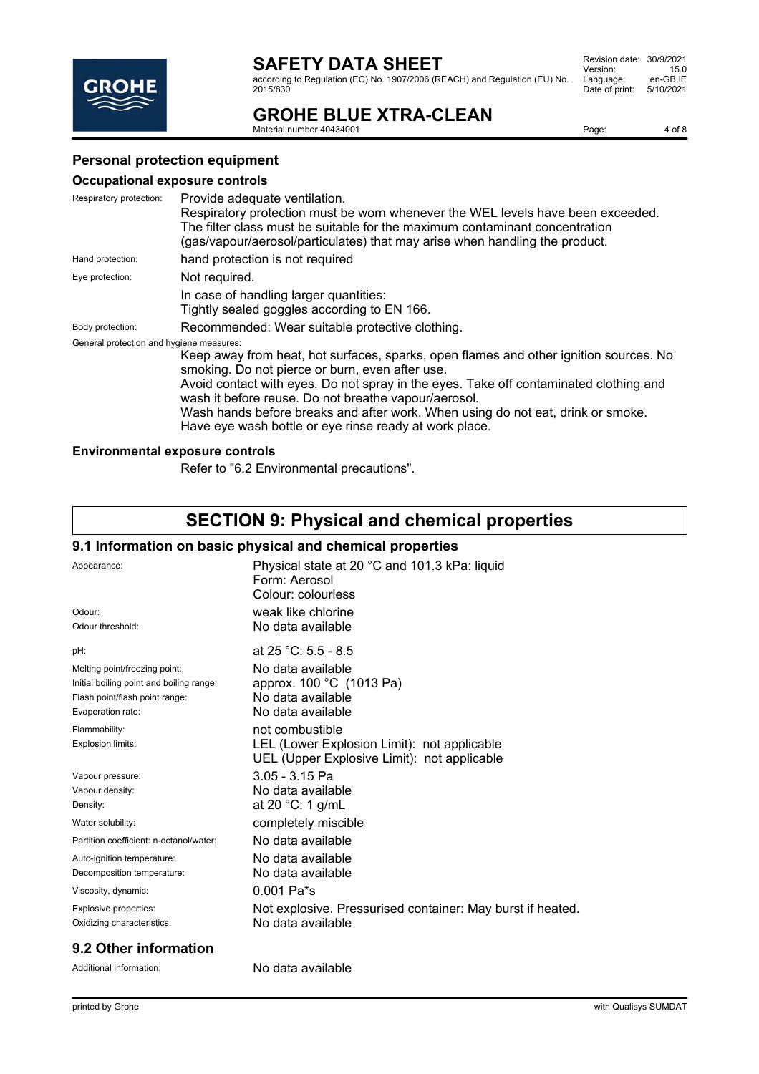according to Regulation (EC) No. 1907/2006 (REACH) and Regulation (EU) No. 2015/830

| Revision date:<br>Version: | 30/9/2021<br>15.0 |
|----------------------------|-------------------|
| Language:                  | en-GB.IE          |
| Date of print:             | 5/10/2021         |

## **GROHE BLUE XTRA-CLEAN**

Material number 40434001

Page: 4 of 8

### **Personal protection equipment**

#### **Occupational exposure controls**

| Respiratory protection:                  | Provide adequate ventilation.                                                                                                                 |  |
|------------------------------------------|-----------------------------------------------------------------------------------------------------------------------------------------------|--|
|                                          | Respiratory protection must be worn whenever the WEL levels have been exceeded.                                                               |  |
|                                          | The filter class must be suitable for the maximum contaminant concentration                                                                   |  |
|                                          | (gas/vapour/aerosol/particulates) that may arise when handling the product.                                                                   |  |
| Hand protection:                         | hand protection is not required                                                                                                               |  |
| Eye protection:                          | Not required.                                                                                                                                 |  |
|                                          | In case of handling larger quantities:                                                                                                        |  |
|                                          | Tightly sealed goggles according to EN 166.                                                                                                   |  |
| Body protection:                         | Recommended: Wear suitable protective clothing.                                                                                               |  |
| General protection and hygiene measures: |                                                                                                                                               |  |
|                                          | Keep away from heat, hot surfaces, sparks, open flames and other ignition sources. No<br>smoking. Do not pierce or burn, even after use.      |  |
|                                          | Avoid contact with eyes. Do not spray in the eyes. Take off contaminated clothing and<br>wash it before reuse. Do not breathe vapour/aerosol. |  |
|                                          | Wash hands before breaks and after work. When using do not eat, drink or smoke.<br>Have eye wash bottle or eye rinse ready at work place.     |  |

#### **Environmental exposure controls**

Refer to "6.2 Environmental precautions".

# **SECTION 9: Physical and chemical properties**

#### **9.1 Information on basic physical and chemical properties**

| Appearance:                              | Physical state at 20 °C and 101.3 kPa: liquid<br>Form: Aerosol<br>Colour: colourless       |
|------------------------------------------|--------------------------------------------------------------------------------------------|
| Odour:                                   | weak like chlorine                                                                         |
| Odour threshold:                         | No data available                                                                          |
| pH:                                      | at 25 °C: 5.5 - 8.5                                                                        |
| Melting point/freezing point:            | No data available                                                                          |
| Initial boiling point and boiling range: | approx. 100 °C (1013 Pa)                                                                   |
| Flash point/flash point range:           | No data available                                                                          |
| Evaporation rate:                        | No data available                                                                          |
| Flammability:                            | not combustible                                                                            |
| Explosion limits:                        | LEL (Lower Explosion Limit): not applicable<br>UEL (Upper Explosive Limit): not applicable |
| Vapour pressure:                         | $3.05 - 3.15$ Pa                                                                           |
| Vapour density:                          | No data available                                                                          |
| Density:                                 | at 20 $°C: 1$ g/mL                                                                         |
| Water solubility:                        | completely miscible                                                                        |
| Partition coefficient: n-octanol/water:  | No data available                                                                          |
| Auto-ignition temperature:               | No data available                                                                          |
| Decomposition temperature:               | No data available                                                                          |
| Viscosity, dynamic:                      | $0.001$ Pa <sup>*</sup> s                                                                  |
| Explosive properties:                    | Not explosive. Pressurised container: May burst if heated.                                 |
| Oxidizing characteristics:               | No data available                                                                          |

#### **9.2 Other information**

Additional information: No data available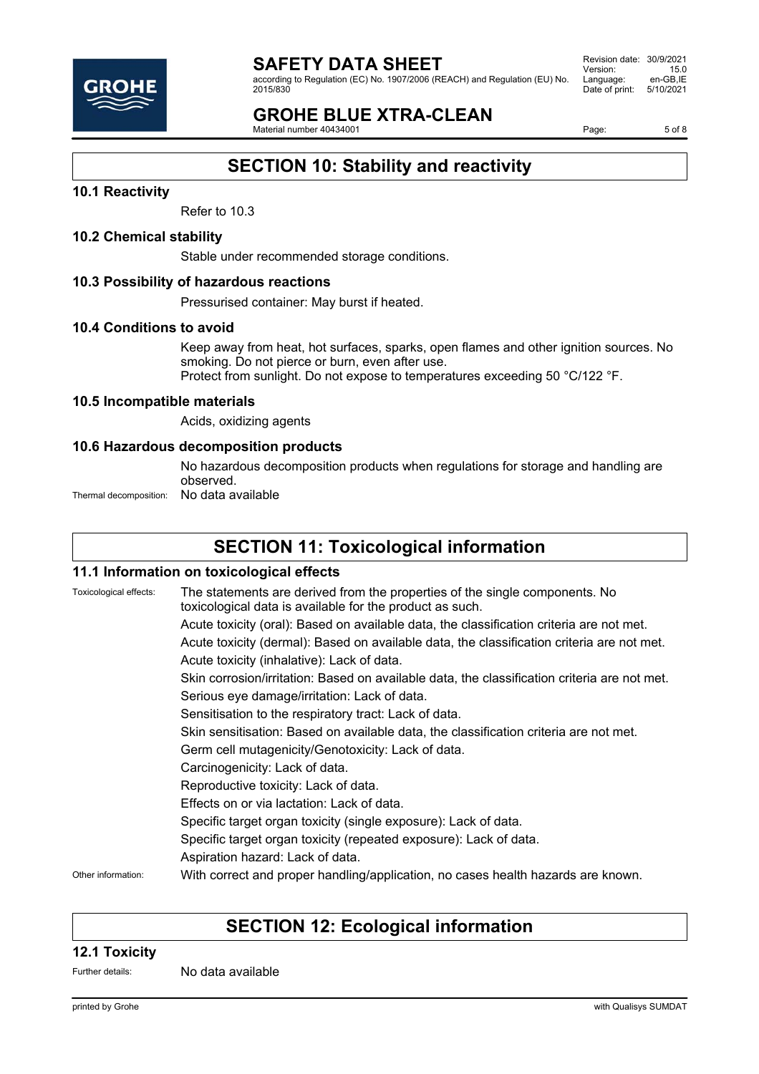according to Regulation (EC) No. 1907/2006 (REACH) and Regulation (EU) No. 2015/830

Revision date: 30/9/2021 Version: 15.0<br>Language: en-GB,IE Language: en-GB,IE<br>Date of print: 5/10/2021 Date of print:

## **GROHE BLUE XTRA-CLEAN**

Material number 40434001

Page: 5 of 8

## **SECTION 10: Stability and reactivity**

#### **10.1 Reactivity**

Refer to 10.3

#### **10.2 Chemical stability**

Stable under recommended storage conditions.

#### **10.3 Possibility of hazardous reactions**

Pressurised container: May burst if heated.

#### **10.4 Conditions to avoid**

Keep away from heat, hot surfaces, sparks, open flames and other ignition sources. No smoking. Do not pierce or burn, even after use. Protect from sunlight. Do not expose to temperatures exceeding 50 °C/122 °F.

#### **10.5 Incompatible materials**

Acids, oxidizing agents

#### **10.6 Hazardous decomposition products**

No hazardous decomposition products when regulations for storage and handling are observed.

Thermal decomposition: No data available

## **SECTION 11: Toxicological information**

#### **11.1 Information on toxicological effects**

Toxicological effects: The statements are derived from the properties of the single components. No toxicological data is available for the product as such. Acute toxicity (oral): Based on available data, the classification criteria are not met. Acute toxicity (dermal): Based on available data, the classification criteria are not met. Acute toxicity (inhalative): Lack of data. Skin corrosion/irritation: Based on available data, the classification criteria are not met. Serious eye damage/irritation: Lack of data. Sensitisation to the respiratory tract: Lack of data. Skin sensitisation: Based on available data, the classification criteria are not met. Germ cell mutagenicity/Genotoxicity: Lack of data. Carcinogenicity: Lack of data. Reproductive toxicity: Lack of data. Effects on or via lactation: Lack of data. Specific target organ toxicity (single exposure): Lack of data. Specific target organ toxicity (repeated exposure): Lack of data. Aspiration hazard: Lack of data. Other information: With correct and proper handling/application, no cases health hazards are known.

## **SECTION 12: Ecological information**

#### **12.1 Toxicity**

Further details: No data available

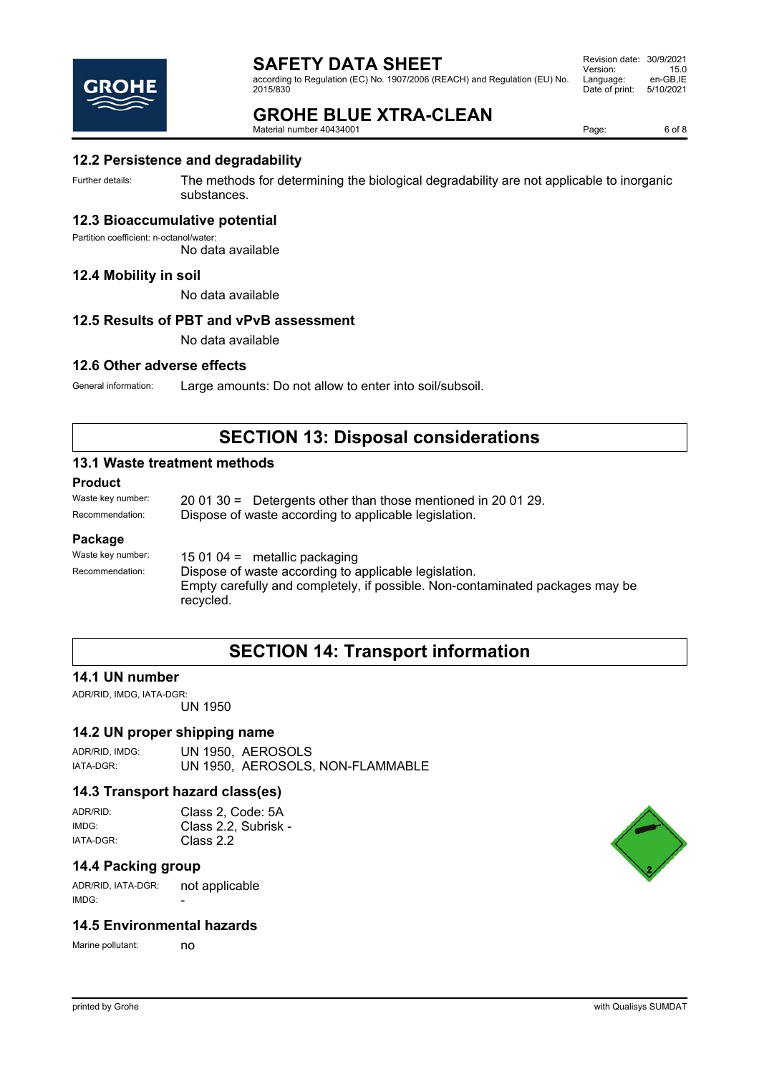according to Regulation (EC) No. 1907/2006 (REACH) and Regulation (EU) No. 2015/830

Revision date: 30/9/2021 Version: 15.0<br>Language: en-GB,IE Language: en-GB,IE<br>Date of print: 5/10/2021 Date of print:



**GROHE BLUE XTRA-CLEAN**

Material number 40434001

Page: 6 of 8

#### **12.2 Persistence and degradability**

Further details: The methods for determining the biological degradability are not applicable to inorganic substances.

#### **12.3 Bioaccumulative potential**

Partition coefficient: n-octanol/water:

No data available

#### **12.4 Mobility in soil**

No data available

#### **12.5 Results of PBT and vPvB assessment**

No data available

#### **12.6 Other adverse effects**

General information: Large amounts: Do not allow to enter into soil/subsoil.

### **SECTION 13: Disposal considerations**

#### **13.1 Waste treatment methods**

**Product**

Waste key number: 20 01 30 = Detergents other than those mentioned in 20 01 29. Recommendation: Dispose of waste according to applicable legislation.

#### **Package**

Waste key number: 15 01 04 = metallic packaging Recommendation: Dispose of waste according to applicable legislation. Empty carefully and completely, if possible. Non-contaminated packages may be recycled.

### **SECTION 14: Transport information**

#### **14.1 UN number**

ADR/RID, IMDG, IATA-DGR: UN 1950

#### **14.2 UN proper shipping name**

ADR/RID, IMDG: UN 1950, AEROSOLS IATA-DGR: UN 1950, AEROSOLS, NON-FLAMMABLE

#### **14.3 Transport hazard class(es)**

ADR/RID: Class 2, Code: 5A IMDG: Class 2.2, Subrisk - IATA-DGR: Class 2.2

#### **14.4 Packing group**

ADR/RID, IATA-DGR: not applicable  $IMDG$ 

#### **14.5 Environmental hazards**

Marine pollutant: no

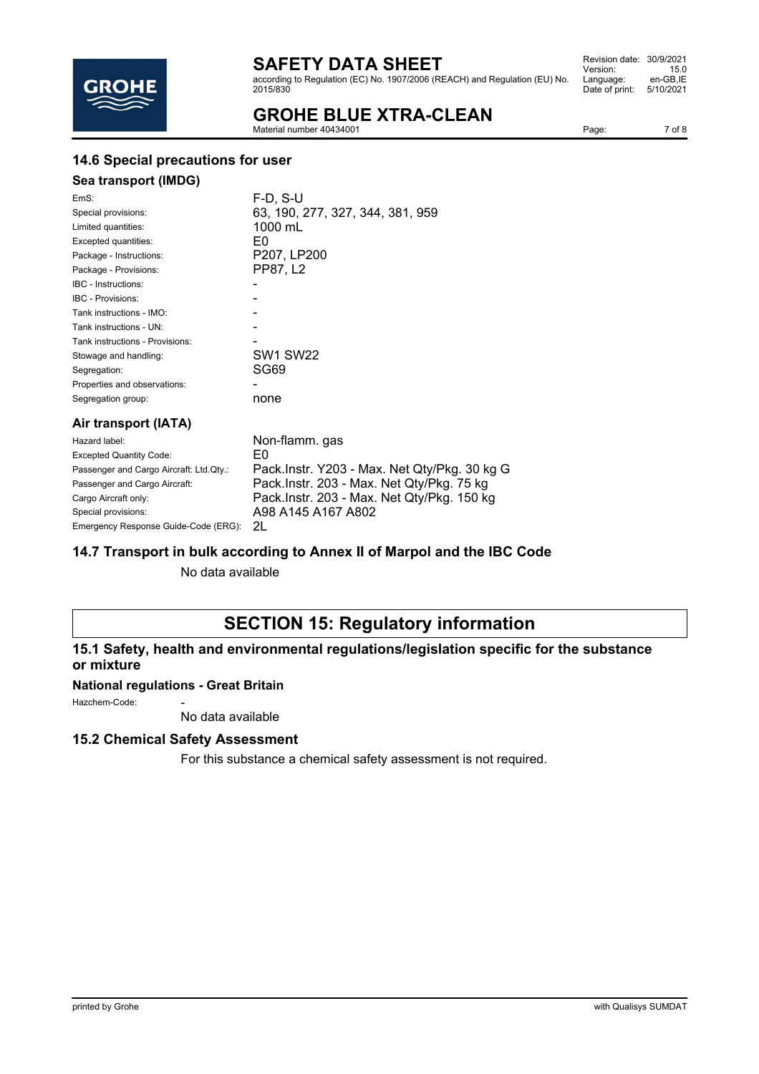according to Regulation (EC) No. 1907/2006 (REACH) and Regulation (EU) No. 2015/830

Revision date: 30/9/2021 Version: 15.0<br>Language: en-GB,IE Language: Date of print: 5/10/2021

## **GROHE BLUE XTRA-CLEAN**

Material number 40434001

Page: 7 of 8

### **14.6 Special precautions for user**

### **Sea transport (IMDG)**

| EmS:                                    | F-D. S-U                                     |
|-----------------------------------------|----------------------------------------------|
| Special provisions:                     | 63, 190, 277, 327, 344, 381, 959             |
| Limited quantities:                     | 1000 mL                                      |
| Excepted quantities:                    | E0                                           |
| Package - Instructions:                 | P207, LP200                                  |
| Package - Provisions:                   | PP87, L2                                     |
| IBC - Instructions:                     |                                              |
| <b>IBC - Provisions:</b>                |                                              |
| Tank instructions - IMO:                |                                              |
| Tank instructions - UN:                 |                                              |
| Tank instructions - Provisions:         |                                              |
| Stowage and handling:                   | <b>SW1 SW22</b>                              |
| Segregation:                            | SG69                                         |
| Properties and observations:            |                                              |
| Segregation group:                      | none                                         |
| Air transport (IATA)                    |                                              |
| Hazard label:                           | Non-flamm. gas                               |
| <b>Excepted Quantity Code:</b>          | E0                                           |
| Passenger and Cargo Aircraft: Ltd.Qty.: | Pack.Instr. Y203 - Max. Net Qty/Pkg. 30 kg G |
| Passenger and Cargo Aircraft:           | Pack.Instr. 203 - Max. Net Qty/Pkg. 75 kg    |
| Cargo Aircraft only:                    | Pack.Instr. 203 - Max. Net Qty/Pkg. 150 kg   |

#### **14.7 Transport in bulk according to Annex II of Marpol and the IBC Code**

No data available

Special provisions: <br>A98 A145 A167 A802

## **SECTION 15: Regulatory information**

#### **15.1 Safety, health and environmental regulations/legislation specific for the substance or mixture**

#### **National regulations - Great Britain**

Emergency Response Guide-Code (ERG): 2L

Hazchem-Code:

No data available

#### **15.2 Chemical Safety Assessment**

For this substance a chemical safety assessment is not required.